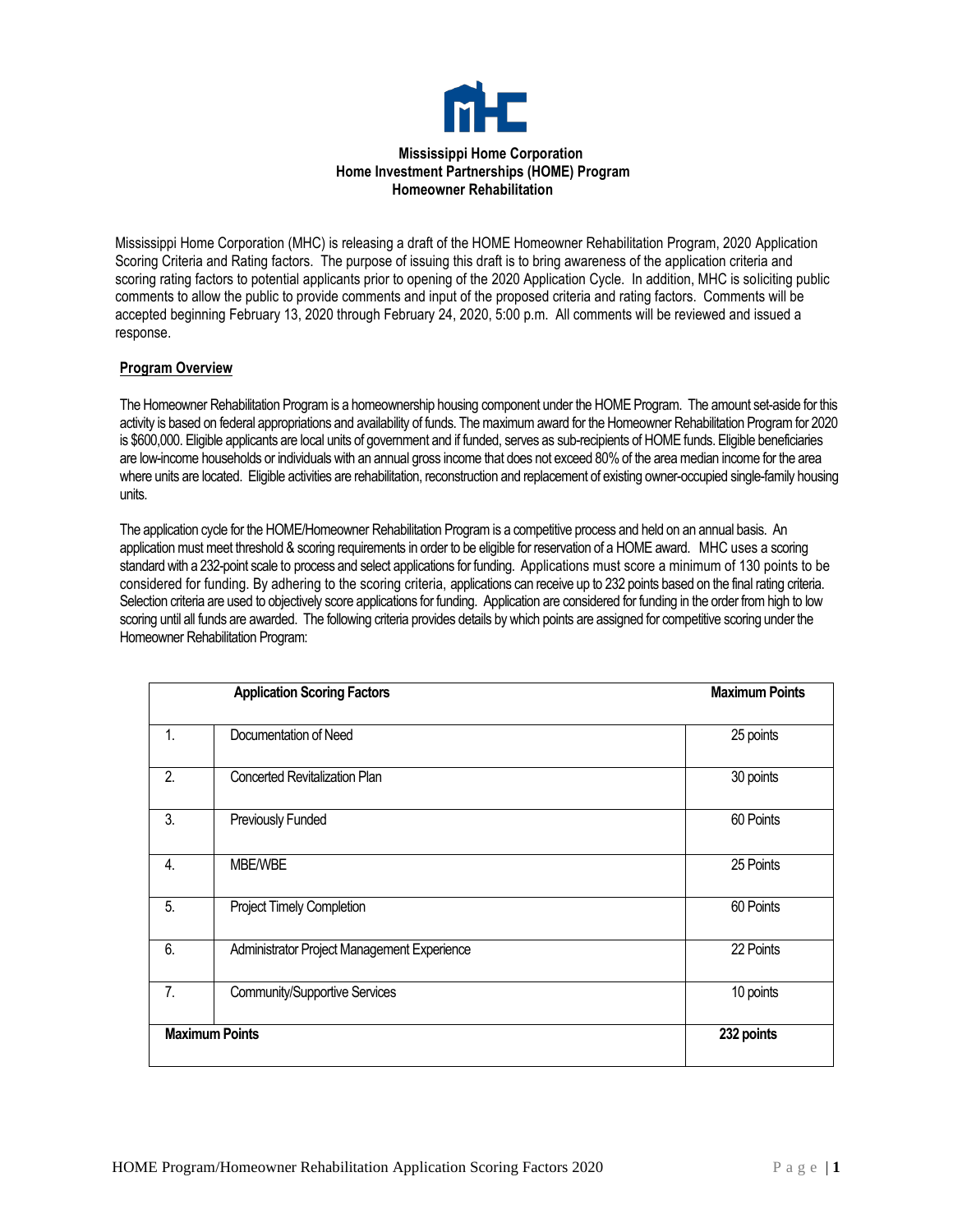

Mississippi Home Corporation (MHC) is releasing a draft of the HOME Homeowner Rehabilitation Program, 2020 Application Scoring Criteria and Rating factors. The purpose of issuing this draft is to bring awareness of the application criteria and scoring rating factors to potential applicants prior to opening of the 2020 Application Cycle. In addition, MHC is soliciting public comments to allow the public to provide comments and input of the proposed criteria and rating factors. Comments will be accepted beginning February 13, 2020 through February 24, 2020, 5:00 p.m. All comments will be reviewed and issued a response.

# **Program Overview**

The Homeowner Rehabilitation Program is a homeownership housing component under the HOME Program. The amount set-aside for this activity is based on federal appropriations and availability of funds. The maximum award for the Homeowner Rehabilitation Program for 2020 is \$600,000. Eligible applicants are local units of government and if funded, serves as sub-recipients of HOME funds. Eligible beneficiaries are low-income households or individuals with an annual gross income that does not exceed 80% of the area median income for the area where units are located. Eligible activities are rehabilitation, reconstruction and replacement of existing owner-occupied single-family housing units.

The application cycle for the HOME/Homeowner Rehabilitation Program is a competitive process and held on an annual basis. An application must meet threshold & scoring requirements in order to be eligible for reservation of a HOME award. MHC uses a scoring standard with a 232-point scale to process and select applications for funding. Applications must score a minimum of 130 points to be considered for funding. By adhering to the scoring criteria, applications can receive up to 232 points based on the final rating criteria. Selection criteria are used to objectively score applications for funding. Application are considered for funding in the order from high to low scoring until all funds are awarded. The following criteria provides details by which points are assigned for competitive scoring under the Homeowner Rehabilitation Program:

| <b>Application Scoring Factors</b> |                                             | <b>Maximum Points</b> |
|------------------------------------|---------------------------------------------|-----------------------|
| 1.                                 | Documentation of Need                       | 25 points             |
| 2.                                 | <b>Concerted Revitalization Plan</b>        | 30 points             |
| 3.                                 | Previously Funded                           | 60 Points             |
| $\overline{4}$ .                   | <b>MBE/WBE</b>                              | 25 Points             |
| 5.                                 | Project Timely Completion                   | 60 Points             |
| 6.                                 | Administrator Project Management Experience | 22 Points             |
| 7.                                 | Community/Supportive Services               | 10 points             |
|                                    | <b>Maximum Points</b>                       | 232 points            |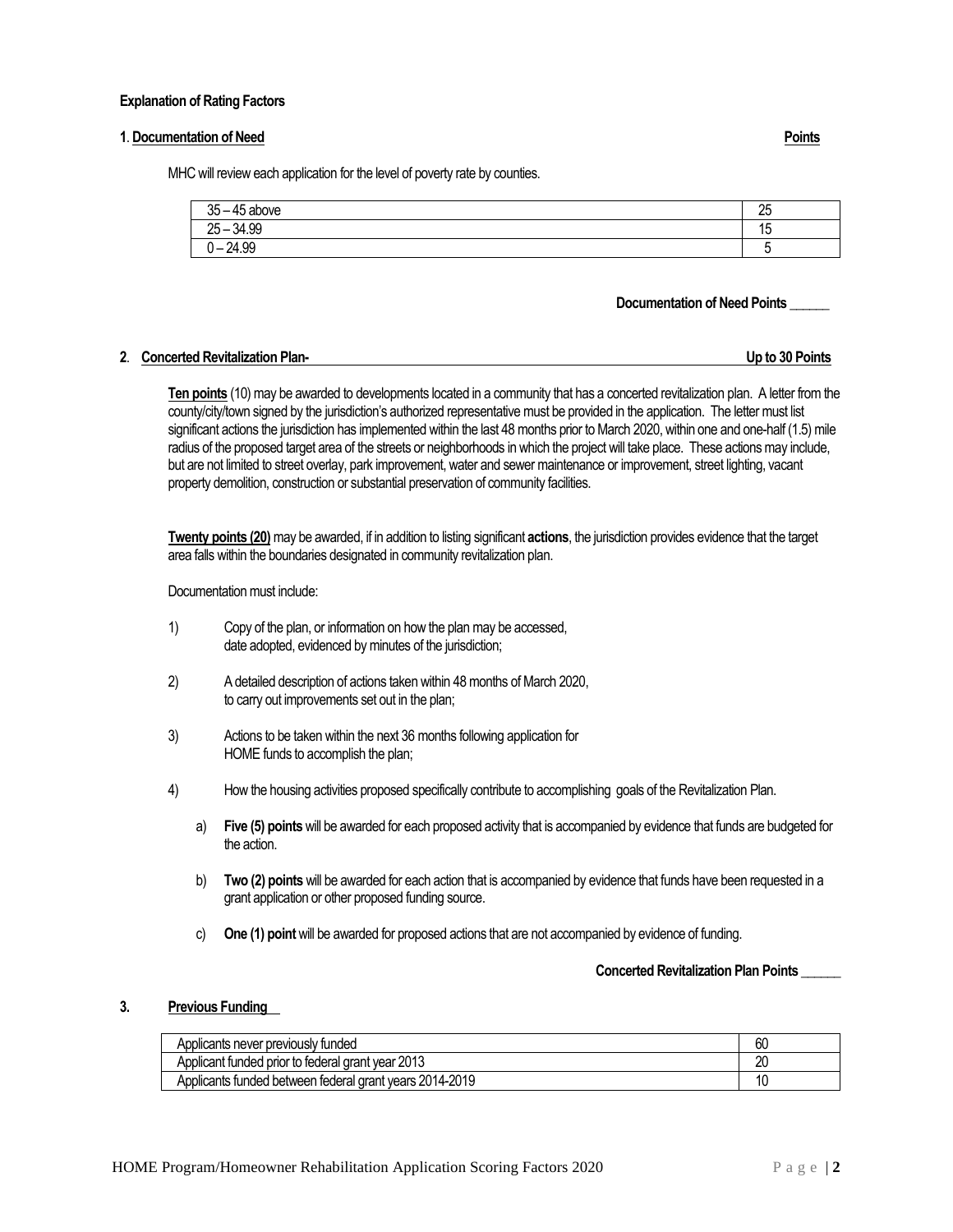### **Explanation of Rating Factors**

### **1**. **Documentation of Need Points**

MHC will review each application for the level of poverty rate by counties.

| 35<br>AE<br>above<br>ົ' – 4ບ .<br>ບບ   | クロ<br>ΔU |
|----------------------------------------|----------|
| $-34.99$<br>$25 -$                     | 17       |
| 24.99<br>⌒<br>$\overline{\phantom{0}}$ |          |

### **Documentation of Need Points \_\_\_\_\_\_**

### **2**. **Concerted Revitalization Plan- Up to 30 Points**

**Ten points** (10) may be awarded to developments located in a community that has a concerted revitalization plan. A letter from the county/city/town signed by the jurisdiction's authorized representative must be provided in the application. The letter must list significant actions the jurisdiction has implemented within the last 48 months prior to March 2020, within one and one-half (1.5) mile radius of the proposed target area of the streets or neighborhoods in which the project will take place. These actions may include, but are not limited to street overlay, park improvement, water and sewer maintenance or improvement, street lighting, vacant property demolition, construction or substantial preservation of community facilities.

**Twenty points (20)**may be awarded, if in addition to listing significant **actions**, the jurisdiction provides evidence that the target area falls within the boundaries designated in community revitalization plan.

Documentation must include:

- 1) Copy of the plan, or information on how the plan may be accessed, date adopted, evidenced by minutes of the jurisdiction;
- 2) A detailed description of actions taken within 48 months of March 2020, to carry out improvements set out in the plan;
- 3) Actions to be taken within the next 36 months following application for HOME funds to accomplish the plan;
- 4) How the housing activities proposed specifically contribute to accomplishing goals of the Revitalization Plan.
	- a) **Five (5) points** will be awarded for each proposed activity that is accompanied by evidence that funds are budgeted for the action.
	- b) **Two (2) points** will be awarded for each action that is accompanied by evidence that funds have been requested in a grant application or other proposed funding source.
	- c) **One (1) point** will be awarded for proposed actions that are not accompanied by evidence of funding.

## **Concerted Revitalization Plan Points \_\_\_\_\_\_**

## **3. Previous Funding**

| Applicants never previously funded                      | ы  |
|---------------------------------------------------------|----|
| Applicant funded prior to federal grant year 2013       | 20 |
| Applicants funded between federal grant years 2014-2019 |    |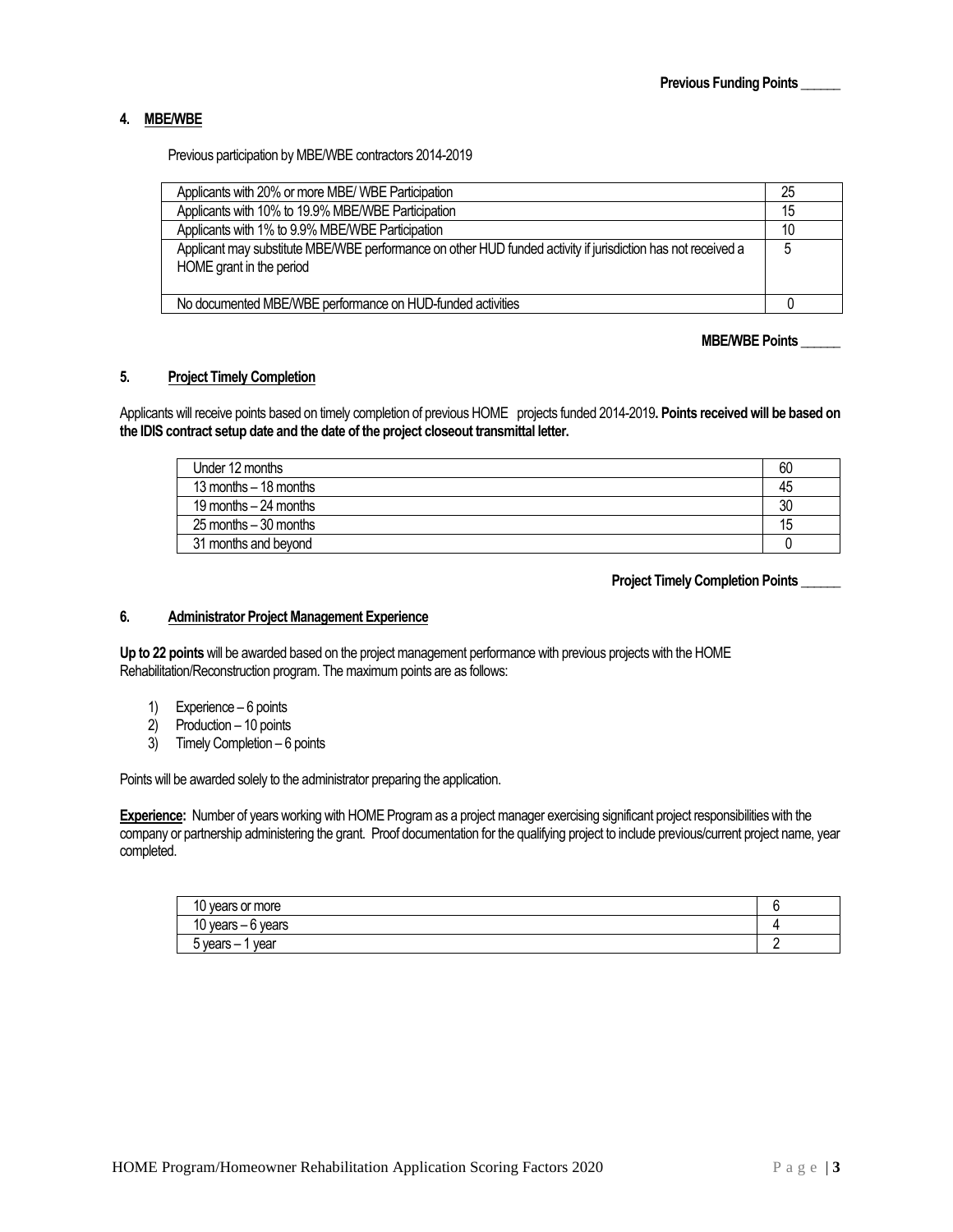# **4. MBE/WBE**

Previous participation by MBE/WBE contractors 2014-2019

| Applicants with 20% or more MBE/ WBE Participation                                                                                       | 25 |
|------------------------------------------------------------------------------------------------------------------------------------------|----|
| Applicants with 10% to 19.9% MBE/WBE Participation                                                                                       | 15 |
| Applicants with 1% to 9.9% MBE/WBE Participation                                                                                         | 10 |
| Applicant may substitute MBE/WBE performance on other HUD funded activity if jurisdiction has not received a<br>HOME grant in the period | 5  |
| No documented MBE/WBE performance on HUD-funded activities                                                                               |    |

## **MBE/WBE Points \_\_\_\_\_\_**

## **5. Project Timely Completion**

Applicants will receive points based on timely completion of previous HOME projects funded 2014-2019**. Points received will be based on the IDIS contract setup date and the date of the project closeout transmittal letter.**

| Under 12 months          | 60 |
|--------------------------|----|
| 13 months $-18$ months   | 45 |
| 19 months $-24$ months   | 30 |
| $25$ months $-30$ months | 15 |
| 31 months and bevond     |    |

 **Project Timely Completion Points \_\_\_\_\_\_**

# **6. Administrator Project Management Experience**

**Up to 22 points** will be awarded based on the project management performance with previous projects with the HOME Rehabilitation/Reconstruction program. The maximum points are as follows:

- 1) Experience 6 points
- 2) Production 10 points
- 3) Timely Completion 6 points

Points will be awarded solely to the administrator preparing the application.

**Experience:** Number of years working with HOME Program as a project manager exercising significant project responsibilities with the company or partnership administering the grant. Proof documentation for the qualifying project to include previous/current project name, year completed.

| $\overline{\phantom{a}}$<br>or more<br>vears |  |
|----------------------------------------------|--|
| 10 years<br>vears<br>$\cdot$ .               |  |
| $vears -$<br>vear                            |  |